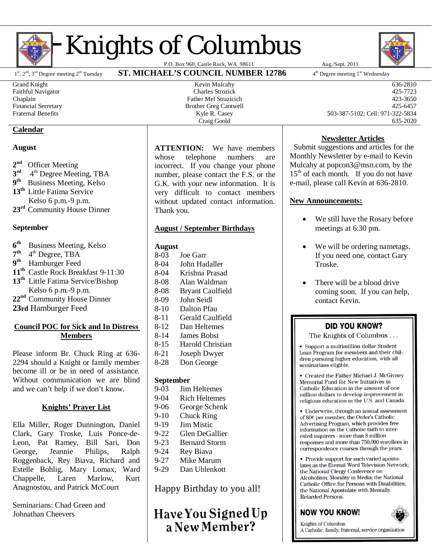

# **Knights of Columbus**

1st, 2<sup>nd</sup>, 3<sup>rd</sup> Degree meeting 2<sup>rd</sup> Tuesday **ST. MICHAEL'S COUNCIL NUMBER 12786** 

#### **Calendar**

#### **August**

- $2<sup>nd</sup>$ **Officer Meeting**
- **3 rd** 4<sup>th</sup> Degree Meeting, TBA
- **9**<sup>th</sup> **th** Business Meeting, Kelso **13th** Little Fatima Service
- Kelso 6 p.m.-9 p.m. **23rd** Community House Dinner

# **September**

- **6 th** Business Meeting, Kelso
- **7** <sup>th</sup> 4<sup>th</sup> Degree, TBA
- **9 th** Hamburger Feed
- **11th** Castle Rock Breakfast 9-11:30
- **13th** Little Fatima Service/Bishop Kelso 6 p.m.-9 p.m.
- **22nd** Community House Dinner
- **23rd** Hamburger Feed
- 

# **Council POC for Sick and In Distress Members**

Please inform Br. Chuck Ring at 636- 2294 should a Knight or family member become ill or be in need of assistance. Without communication we are blind and we can't help if we don't know.

# **Knights' Prayer List**

Ella Miller, Roger Dunnington, Daniel Clark, Gary Troske, Luis Ponce-de-Leon, Pat Ramey, Bill Sari, Don George, Jeannie Philips, Ralph Roggenback, Rey Biava, Richard and Estelle Bohlig, Mary Lomax, Ward Chappelle, Laren Marlow, Kurt Anagnostou, and Patrick McCourt

Seminarians: Chad Green and Johnathan Cheevers

**ATTENTION:** We have members whose telephone numbers are incorrect. If you change your phone number, please contact the F.S. or the G.K. with your new information. It is very difficult to contact members without updated contact information. Thank you.

# **August / September Birthdays**

#### **August**

- 8-03 Joe Garr 8-04 John Hadaller
- 8-04 Krishna Prasad
- 8-08 Alan Waldman
- 8-08 Bryant Caulfield
- 8-09 John Seidl
- 8-10 Dalton Pfau
- 8-11 Gerald Caulfield
- 8-12 Dan Heltemes
- 8-14 James Bobst
- 8-15 Harold Christian
- 8-21 Joseph Dwyer
- Don George

#### **September**

- 9-03 Jim Heltemes
- 9-04 Rich Heltemes
- 9-06 George Schenk
- 9-10 Chuck Ring
- 9-19 Jim Mistic
- 9-22 Glen DeGallier
- 9-23 Bernard Storm
- 9-24 Rey Biava
- 9-27 Mike Marum
- 9-29 Dan Uhlenkott

Happy Birthday to you all!

Have You Signed Up a New Member?



4<sup>th</sup> Degree meeting 1<sup>st</sup> Wednesday

Grand Knight 636-2810 Faithful Navigator Charles Strozick 425-7723 Chaplain Father Mel Strazicich 423-3650 Financial Secretary and the Secretary Brother Greg Cantwell **Brother Greg Cantwell** 425-6457 Fraternal Benefits Kyle R. Casey 503-387-5102; Cell: 971-322-5834 Craig Goold 635-2020

# **Newsletter Articles**

 Submit suggestions and articles for the Monthly Newsletter by e-mail to Kevin Mulcahy at popcon3@msn.com, by the 15<sup>th</sup> of each month. If you do not have e-mail, please call Kevin at 636-2810.

# **New Announcements:**

- $\bullet$  We still have the Rosary before meetings at 6:30 pm.
- We will be ordering nametags. If you need one, contact Gary Troske.
- There will be a blood drive coming soon. If you can help, contact Kevin.

# **DID YOU KNOW?**

The Knights of Columbus . . .

• Support a multimillion dollar Student Loan Program for members and their children pursuing higher education, with all seminarians eligible.

• Created the Father Michael J. McGivney Memorial Fund for New Initiatives in Catholic Education in the amount of one million dollars to develop improvement in religious education in the U.S. and Canada.

• Underwrite, through an annual assessment of 80¢ per member, the Order's Catholic Advertising Program, which provides free information on the Catholic faith to interested inquirers - more than 8 million responses and more than 750,000 enrollees in correspondence courses through the years.

• Provide support for such varied apostolates as the Eternal Word Television Network; the National Clergy Conference on Alcoholism: Morality in Media; the National Catholic Office for Persons with Disabilities; the National Apostolate with Mentally Retarded Persons.

# **NOW YOU KNOW!**